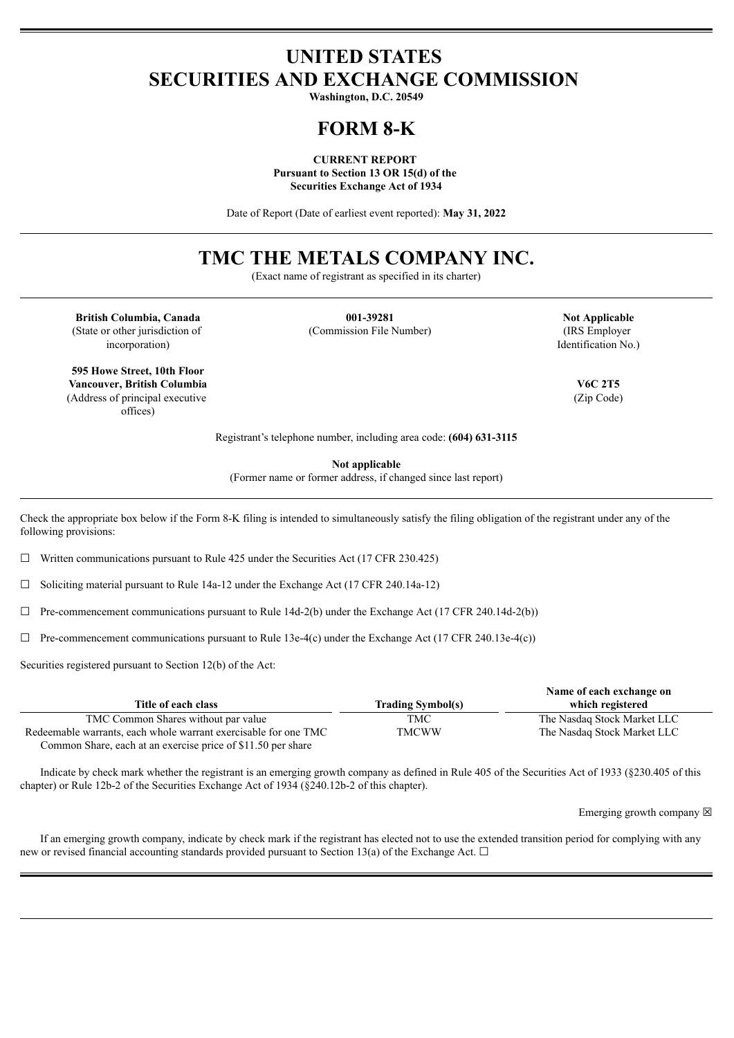## **UNITED STATES SECURITIES AND EXCHANGE COMMISSION**

**Washington, D.C. 20549**

### **FORM 8-K**

**CURRENT REPORT Pursuant to Section 13 OR 15(d) of the Securities Exchange Act of 1934**

Date of Report (Date of earliest event reported): **May 31, 2022**

## **TMC THE METALS COMPANY INC.**

(Exact name of registrant as specified in its charter)

**British Columbia, Canada 001-39281 Not Applicable** (State or other jurisdiction of incorporation)

(Commission File Number) (IRS Employer

Identification No.)

(Zip Code)

Registrant's telephone number, including area code: **(604) 631-3115**

**Not applicable**

(Former name or former address, if changed since last report)

Check the appropriate box below if the Form 8-K filing is intended to simultaneously satisfy the filing obligation of the registrant under any of the following provisions:

 $\Box$  Written communications pursuant to Rule 425 under the Securities Act (17 CFR 230.425)

 $\Box$  Soliciting material pursuant to Rule 14a-12 under the Exchange Act (17 CFR 240.14a-12)

 $\Box$  Pre-commencement communications pursuant to Rule 14d-2(b) under the Exchange Act (17 CFR 240.14d-2(b))

 $\Box$  Pre-commencement communications pursuant to Rule 13e-4(c) under the Exchange Act (17 CFR 240.13e-4(c))

Securities registered pursuant to Section 12(b) of the Act:

|                                                                 |                          | Name of each exchange on    |
|-----------------------------------------------------------------|--------------------------|-----------------------------|
| Title of each class                                             | <b>Trading Symbol(s)</b> | which registered            |
| TMC Common Shares without par value                             | TMC                      | The Nasdag Stock Market LLC |
| Redeemable warrants, each whole warrant exercisable for one TMC | <b>TMCWW</b>             | The Nasdaq Stock Market LLC |
| Common Share, each at an exercise price of \$11.50 per share    |                          |                             |

Indicate by check mark whether the registrant is an emerging growth company as defined in Rule 405 of the Securities Act of 1933 (§230.405 of this chapter) or Rule 12b-2 of the Securities Exchange Act of 1934 (§240.12b-2 of this chapter).

Emerging growth company  $\boxtimes$ 

If an emerging growth company, indicate by check mark if the registrant has elected not to use the extended transition period for complying with any new or revised financial accounting standards provided pursuant to Section 13(a) of the Exchange Act.  $\Box$ 

**595 Howe Street, 10th Floor Vancouver, British Columbia V6C 2T5** (Address of principal executive

offices)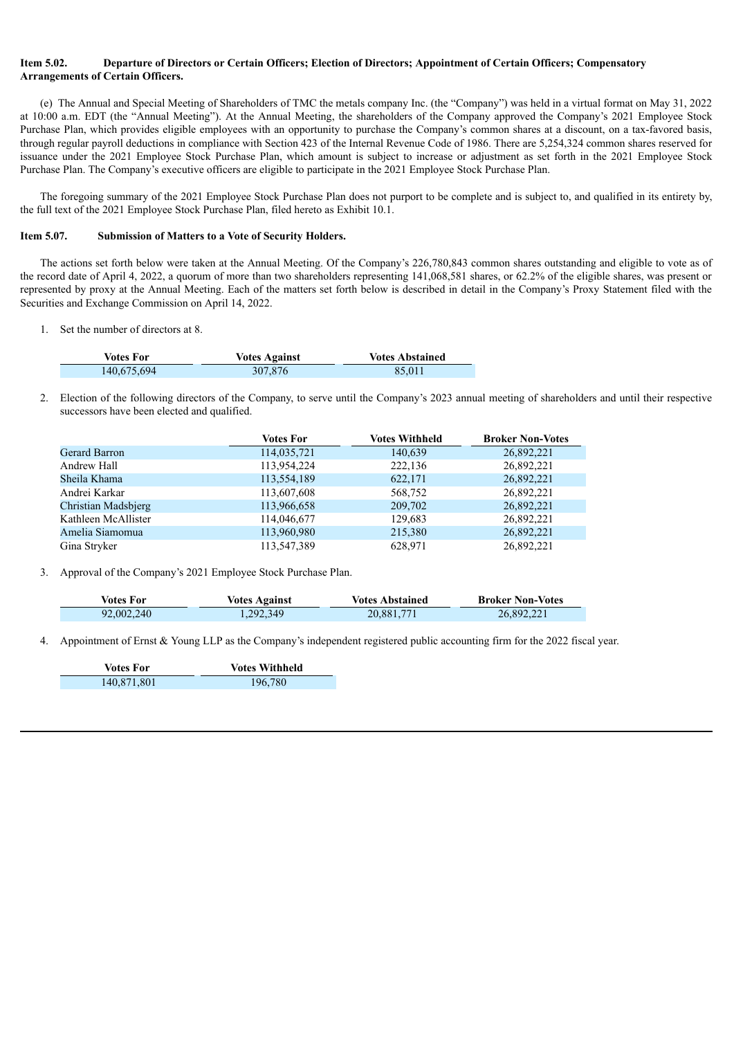#### Item 5.02. Departure of Directors or Certain Officers: Election of Directors: Appointment of Certain Officers: Compensatory **Arrangements of Certain Officers.**

(e) The Annual and Special Meeting of Shareholders of TMC the metals company Inc. (the "Company") was held in a virtual format on May 31, 2022 at 10:00 a.m. EDT (the "Annual Meeting"). At the Annual Meeting, the shareholders of the Company approved the Company's 2021 Employee Stock Purchase Plan, which provides eligible employees with an opportunity to purchase the Company's common shares at a discount, on a tax-favored basis, through regular payroll deductions in compliance with Section 423 of the Internal Revenue Code of 1986. There are 5,254,324 common shares reserved for issuance under the 2021 Employee Stock Purchase Plan, which amount is subject to increase or adjustment as set forth in the 2021 Employee Stock Purchase Plan. The Company's executive officers are eligible to participate in the 2021 Employee Stock Purchase Plan.

The foregoing summary of the 2021 Employee Stock Purchase Plan does not purport to be complete and is subject to, and qualified in its entirety by, the full text of the 2021 Employee Stock Purchase Plan, filed hereto as Exhibit 10.1.

#### **Item 5.07. Submission of Matters to a Vote of Security Holders.**

The actions set forth below were taken at the Annual Meeting. Of the Company's 226,780,843 common shares outstanding and eligible to vote as of the record date of April 4, 2022, a quorum of more than two shareholders representing 141,068,581 shares, or 62.2% of the eligible shares, was present or represented by proxy at the Annual Meeting. Each of the matters set forth below is described in detail in the Company's Proxy Statement filed with the Securities and Exchange Commission on April 14, 2022.

1. Set the number of directors at 8.

| Votes For   | <b>Votes Against</b> | <b>Votes Abstained</b> |
|-------------|----------------------|------------------------|
| 140,675,694 | 307.876              | 85.011                 |

2. Election of the following directors of the Company, to serve until the Company's 2023 annual meeting of shareholders and until their respective successors have been elected and qualified.

|                     | <b>Votes For</b> | <b>Votes Withheld</b> | <b>Broker Non-Votes</b> |
|---------------------|------------------|-----------------------|-------------------------|
| Gerard Barron       | 114,035,721      | 140,639               | 26,892,221              |
| Andrew Hall         | 113,954,224      | 222,136               | 26,892,221              |
| Sheila Khama        | 113,554,189      | 622,171               | 26,892,221              |
| Andrei Karkar       | 113,607,608      | 568,752               | 26,892,221              |
| Christian Madsbjerg | 113,966,658      | 209,702               | 26,892,221              |
| Kathleen McAllister | 114,046,677      | 129.683               | 26,892,221              |
| Amelia Siamomua     | 113,960,980      | 215,380               | 26,892,221              |
| Gina Stryker        | 113,547,389      | 628,971               | 26,892,221              |

3. Approval of the Company's 2021 Employee Stock Purchase Plan.

| Votes For  | <b>Votes Against</b> | Votes Abstained | <b>Broker Non-Votes</b> |
|------------|----------------------|-----------------|-------------------------|
| 92,002,240 | 1,292,349            | 20,881,771      | 26,892,221              |

Appointment of Ernst & Young LLP as the Company's independent registered public accounting firm for the 2022 fiscal year.

| <b>Votes For</b> | <b>Votes Withheld</b> |
|------------------|-----------------------|
| 140,871,801      | 196,780               |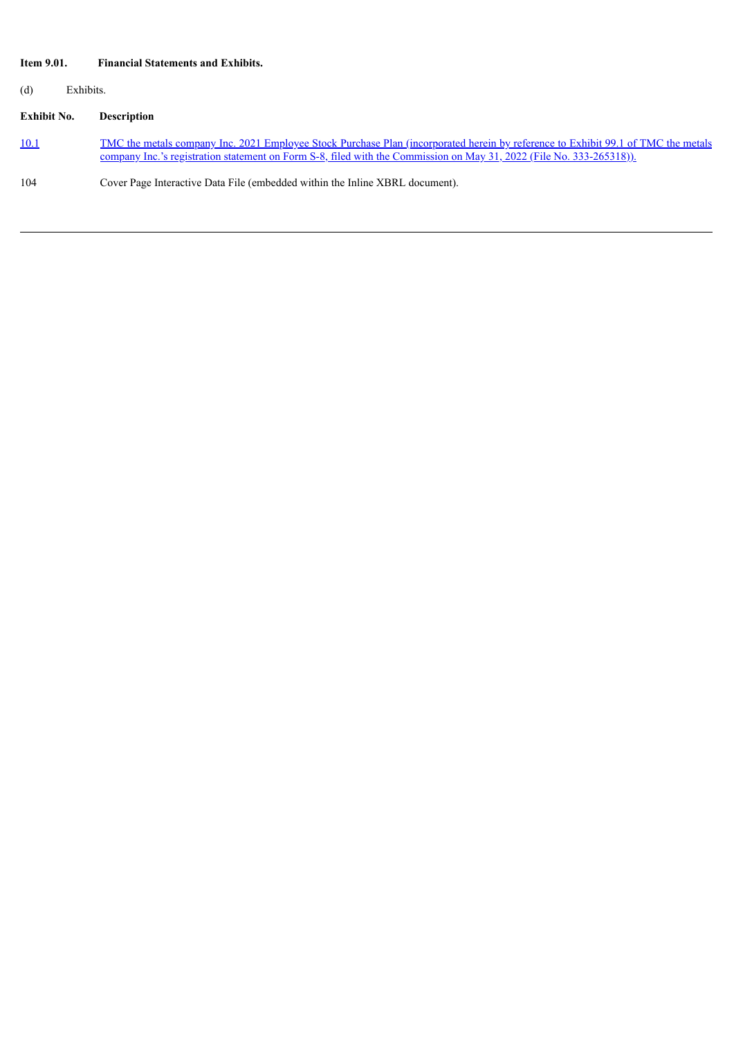### **Item 9.01. Financial Statements and Exhibits.**

(d) Exhibits.

# **Exhibit No. Description**

| 10.1 | <u>TMC the metals company Inc. 2021 Employee Stock Purchase Plan (incorporated herein by reference to Exhibit 99.1 of TMC the metals</u> |
|------|------------------------------------------------------------------------------------------------------------------------------------------|
|      | company Inc.'s registration statement on Form S-8, filed with the Commission on May 31, 2022 (File No. 333-265318)).                     |

104 Cover Page Interactive Data File (embedded within the Inline XBRL document).